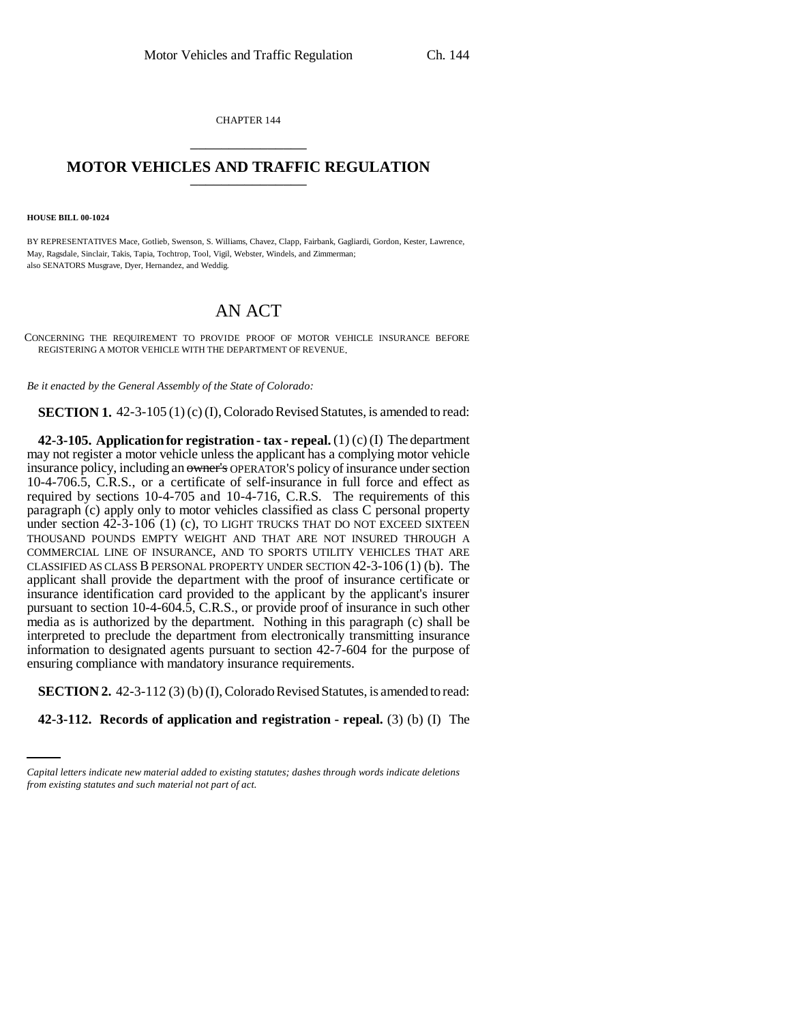CHAPTER 144 \_\_\_\_\_\_\_\_\_\_\_\_\_\_\_

## **MOTOR VEHICLES AND TRAFFIC REGULATION** \_\_\_\_\_\_\_\_\_\_\_\_\_\_\_

**HOUSE BILL 00-1024** 

BY REPRESENTATIVES Mace, Gotlieb, Swenson, S. Williams, Chavez, Clapp, Fairbank, Gagliardi, Gordon, Kester, Lawrence, May, Ragsdale, Sinclair, Takis, Tapia, Tochtrop, Tool, Vigil, Webster, Windels, and Zimmerman; also SENATORS Musgrave, Dyer, Hernandez, and Weddig.

## AN ACT

CONCERNING THE REQUIREMENT TO PROVIDE PROOF OF MOTOR VEHICLE INSURANCE BEFORE REGISTERING A MOTOR VEHICLE WITH THE DEPARTMENT OF REVENUE.

*Be it enacted by the General Assembly of the State of Colorado:*

**SECTION 1.** 42-3-105 (1) (c) (I), Colorado Revised Statutes, is amended to read:

**42-3-105. Application for registration - tax - repeal.** (1) (c) (I) The department may not register a motor vehicle unless the applicant has a complying motor vehicle insurance policy, including an owner's OPERATOR'S policy of insurance under section 10-4-706.5, C.R.S., or a certificate of self-insurance in full force and effect as required by sections 10-4-705 and 10-4-716, C.R.S. The requirements of this paragraph (c) apply only to motor vehicles classified as class C personal property under section 42-3-106 (1) (c), TO LIGHT TRUCKS THAT DO NOT EXCEED SIXTEEN THOUSAND POUNDS EMPTY WEIGHT AND THAT ARE NOT INSURED THROUGH A COMMERCIAL LINE OF INSURANCE, AND TO SPORTS UTILITY VEHICLES THAT ARE CLASSIFIED AS CLASS B PERSONAL PROPERTY UNDER SECTION 42-3-106 (1) (b). The applicant shall provide the department with the proof of insurance certificate or insurance identification card provided to the applicant by the applicant's insurer pursuant to section 10-4-604.5, C.R.S., or provide proof of insurance in such other media as is authorized by the department. Nothing in this paragraph (c) shall be interpreted to preclude the department from electronically transmitting insurance information to designated agents pursuant to section 42-7-604 for the purpose of ensuring compliance with mandatory insurance requirements.

**SECTION 2.** 42-3-112 (3) (b) (I), Colorado Revised Statutes, is amended to read:

**42-3-112. Records of application and registration - repeal.** (3) (b) (I) The

*Capital letters indicate new material added to existing statutes; dashes through words indicate deletions from existing statutes and such material not part of act.*